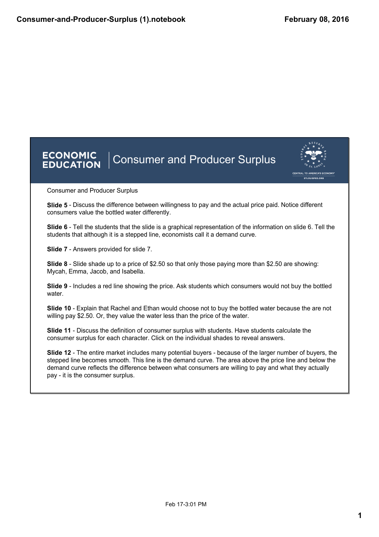



Consumer and Producer Surplus

**Slide 5** - Discuss the difference between willingness to pay and the actual price paid. Notice different consumers value the bottled water differently.

**Slide 6** - Tell the students that the slide is a graphical representation of the information on slide 6. Tell the students that although it is a stepped line, economists call it a demand curve.

**Slide 7** - Answers provided for slide 7.

**Slide 8** - Slide shade up to a price of \$2.50 so that only those paying more than \$2.50 are showing: Mycah, Emma, Jacob, and Isabella.

**Slide 9** Includes a red line showing the price. Ask students which consumers would not buy the bottled water.

**Slide 10** Explain that Rachel and Ethan would choose not to buy the bottled water because the are not willing pay \$2.50. Or, they value the water less than the price of the water.

**Slide 11** Discuss the definition of consumer surplus with students. Have students calculate the consumer surplus for each character. Click on the individual shades to reveal answers.

**Slide 12** - The entire market includes many potential buyers - because of the larger number of buyers, the stepped line becomes smooth. This line is the demand curve. The area above the price line and below the demand curve reflects the difference between what consumers are willing to pay and what they actually pay - it is the consumer surplus.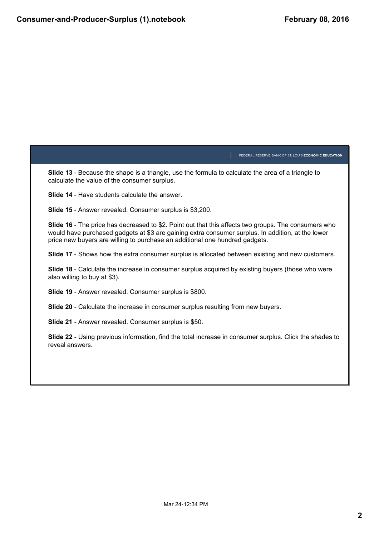FEDERAL RESERVE BANK OF ST. LOUIS ECONOMIC EDUCATION **Slide 13** - Because the shape is a triangle, use the formula to calculate the area of a triangle to calculate the value of the consumer surplus. **Slide 14** - Have students calculate the answer. **Slide 15** - Answer revealed. Consumer surplus is \$3,200. **Slide 16** - The price has decreased to \$2. Point out that this affects two groups. The consumers who would have purchased gadgets at \$3 are gaining extra consumer surplus. In addition, at the lower price new buyers are willing to purchase an additional one hundred gadgets. **Slide 17** - Shows how the extra consumer surplus is allocated between existing and new customers. **Slide 18** - Calculate the increase in consumer surplus acquired by existing buyers (those who were also willing to buy at \$3). **Slide 19** - Answer revealed. Consumer surplus is \$800. **Slide 20** - Calculate the increase in consumer surplus resulting from new buyers. **Slide 21** - Answer revealed. Consumer surplus is \$50.

**Slide 22** Using previous information, find the total increase in consumer surplus. Click the shades to reveal answers.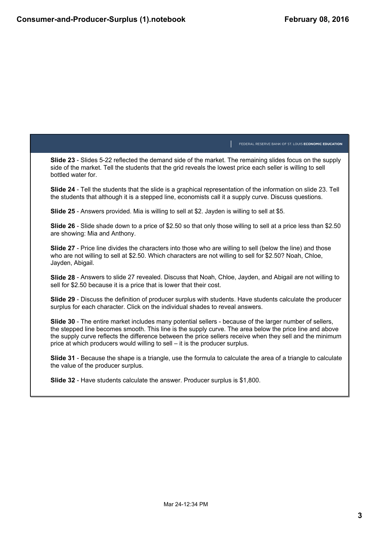FEDERAL RESERVE BANK OF ST. LOUIS ECONOMIC EDUCATION **Slide 23** Slides 522 reflected the demand side of the market. The remaining slides focus on the supply side of the market. Tell the students that the grid reveals the lowest price each seller is willing to sell bottled water for. **Slide 24** Tell the students that the slide is a graphical representation of the information on slide 23. Tell the students that although it is a stepped line, economists call it a supply curve. Discuss questions. **Slide 25** Answers provided. Mia is willing to sell at \$2. Jayden is willing to sell at \$5. **Slide 26** Slide shade down to a price of \$2.50 so that only those willing to sell at a price less than \$2.50 are showing: Mia and Anthony. **Slide 27** - Price line divides the characters into those who are willing to sell (below the line) and those who are not willing to sell at \$2.50. Which characters are not willing to sell for \$2.50? Noah, Chloe, Jayden, Abigail. **Slide 28** Answers to slide 27 revealed. Discuss that Noah, Chloe, Jayden, and Abigail are not willing to sell for \$2.50 because it is a price that is lower that their cost. **Slide 29** - Discuss the definition of producer surplus with students. Have students calculate the producer surplus for each character. Click on the individual shades to reveal answers. **Slide 30** - The entire market includes many potential sellers - because of the larger number of sellers, the stepped line becomes smooth. This line is the supply curve. The area below the price line and above the supply curve reflects the difference between the price sellers receive when they sell and the minimum price at which producers would willing to sell – it is the producer surplus. **Slide 31** Because the shape is a triangle, use the formula to calculate the area of a triangle to calculate the value of the producer surplus. **Slide 32** - Have students calculate the answer. Producer surplus is \$1,800.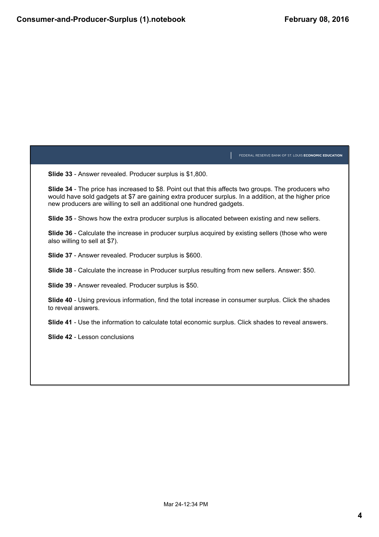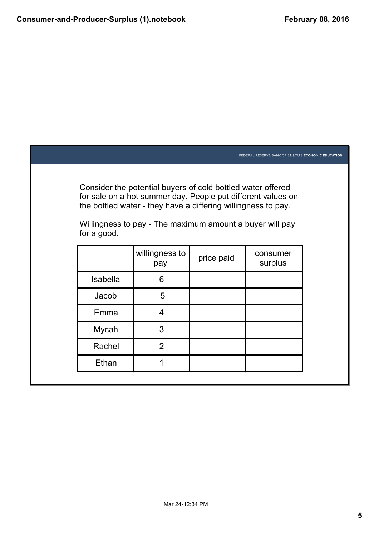|             |                                                                                                                                                                                                                                                          |            | FEDERAL RESERVE BANK OF ST. LOUIS ECONOMIC EDUCATION |  |
|-------------|----------------------------------------------------------------------------------------------------------------------------------------------------------------------------------------------------------------------------------------------------------|------------|------------------------------------------------------|--|
| for a good. | Consider the potential buyers of cold bottled water offered<br>for sale on a hot summer day. People put different values on<br>the bottled water - they have a differing willingness to pay.<br>Willingness to pay - The maximum amount a buyer will pay |            |                                                      |  |
|             | willingness to<br>pay                                                                                                                                                                                                                                    | price paid | consumer<br>surplus                                  |  |
| Isabella    | 6                                                                                                                                                                                                                                                        |            |                                                      |  |
| Jacob       | 5                                                                                                                                                                                                                                                        |            |                                                      |  |
| Emma        | 4                                                                                                                                                                                                                                                        |            |                                                      |  |
| Mycah       | 3                                                                                                                                                                                                                                                        |            |                                                      |  |
| Rachel      | $\overline{2}$                                                                                                                                                                                                                                           |            |                                                      |  |
| Ethan       | 1                                                                                                                                                                                                                                                        |            |                                                      |  |
|             |                                                                                                                                                                                                                                                          |            |                                                      |  |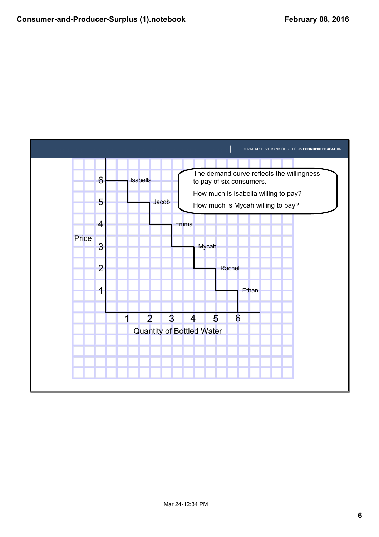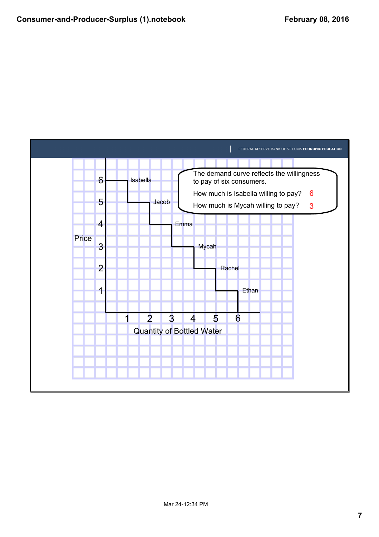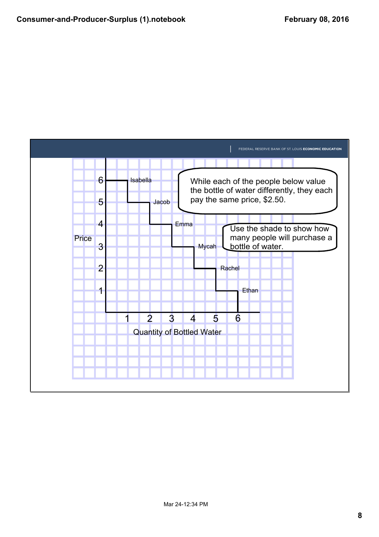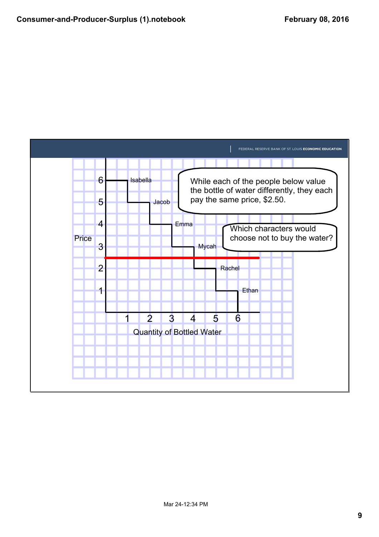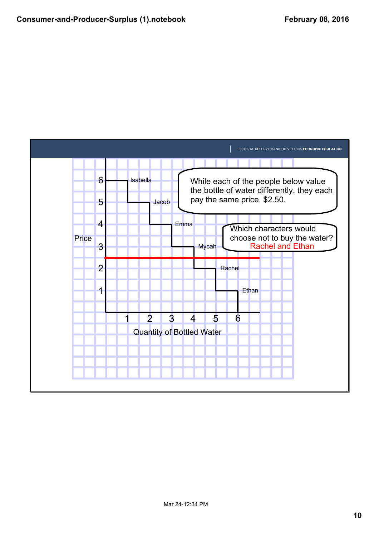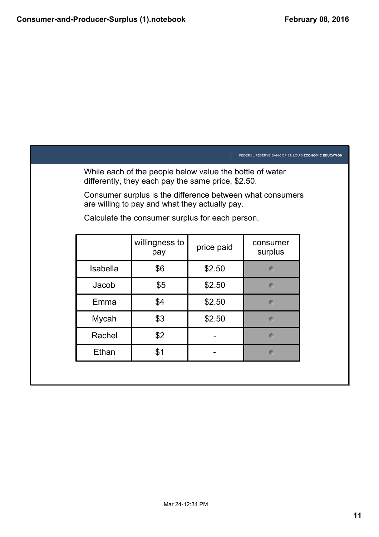|                 |                                                                                                                |            | FEDERAL RESERVE BANK OF ST. LOUIS ECONOMIC EDUCATION |
|-----------------|----------------------------------------------------------------------------------------------------------------|------------|------------------------------------------------------|
|                 | While each of the people below value the bottle of water<br>differently, they each pay the same price, \$2.50. |            |                                                      |
|                 | Consumer surplus is the difference between what consumers<br>are willing to pay and what they actually pay.    |            |                                                      |
|                 | Calculate the consumer surplus for each person.                                                                |            |                                                      |
|                 | willingness to<br>pay                                                                                          | price paid | consumer<br>surplus                                  |
| <b>Isabella</b> | \$6                                                                                                            | \$2.50     | $\mathbf C$                                          |
| Jacob           | \$5                                                                                                            | \$2.50     | $\subset$                                            |
| Emma            | \$4                                                                                                            | \$2.50     | $\blacksquare$                                       |
| Mycah           | \$3                                                                                                            | \$2.50     | $\bullet$                                            |
| Rachel          | \$2                                                                                                            |            | $\bullet$                                            |
| Ethan           | \$1                                                                                                            |            | $\bullet$                                            |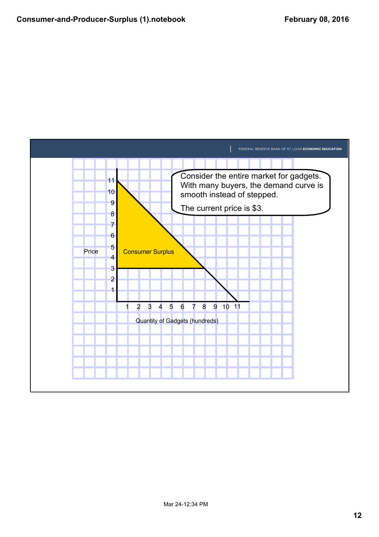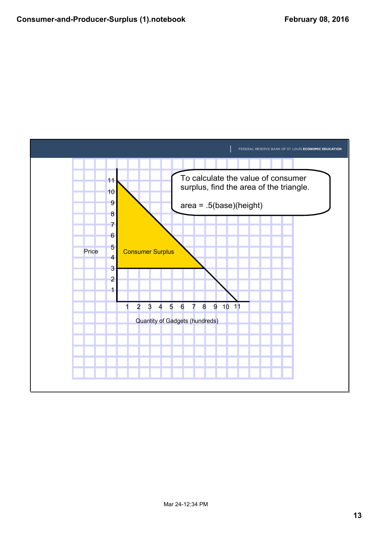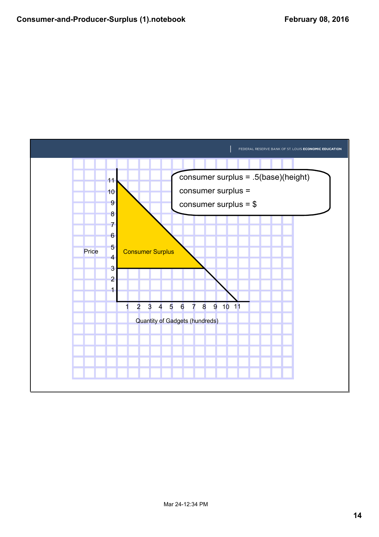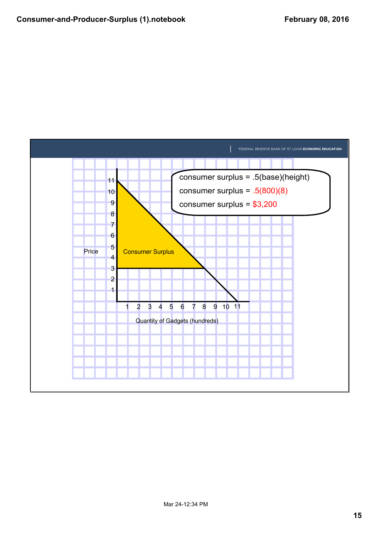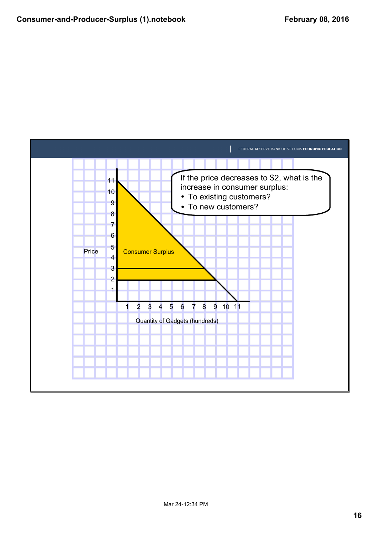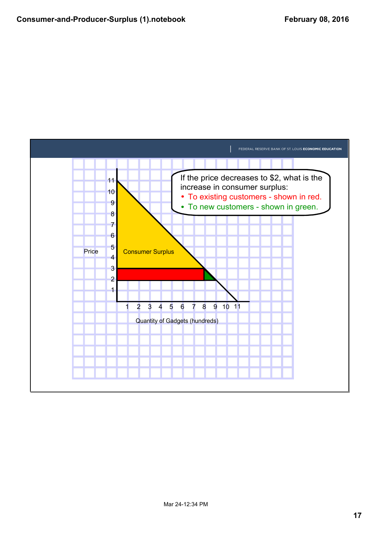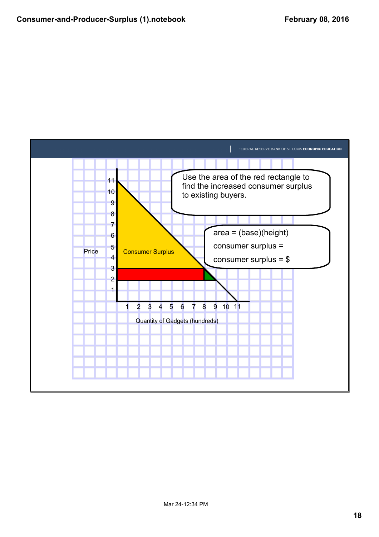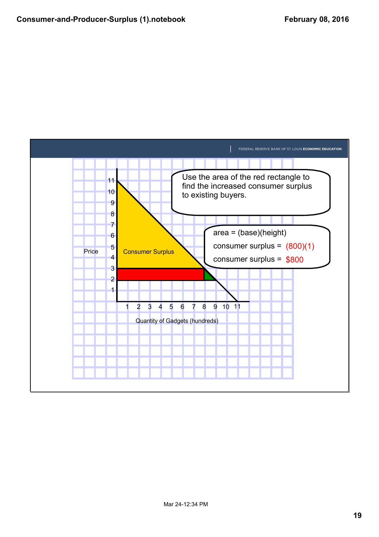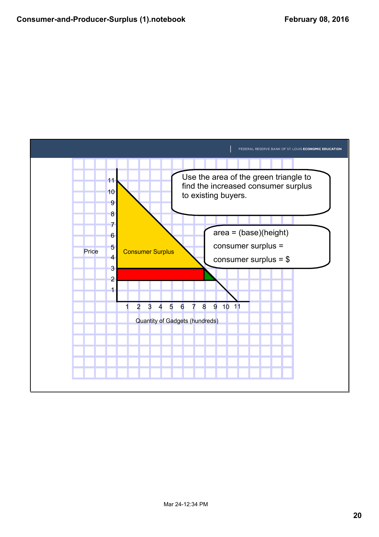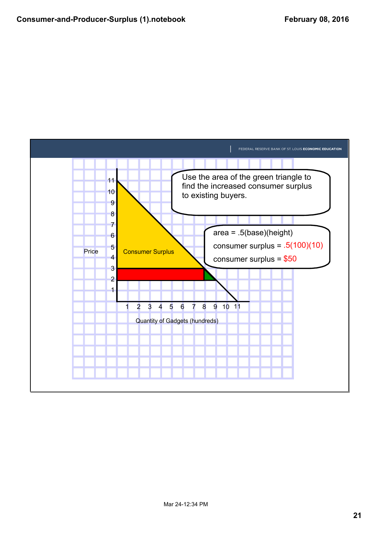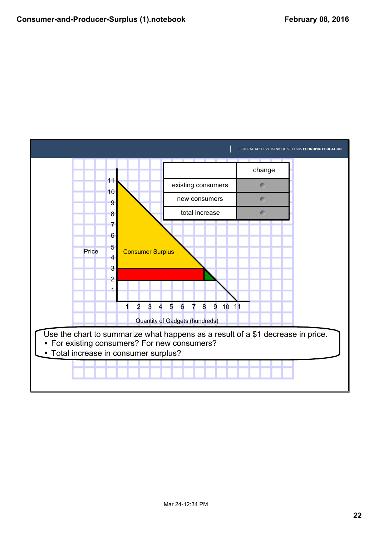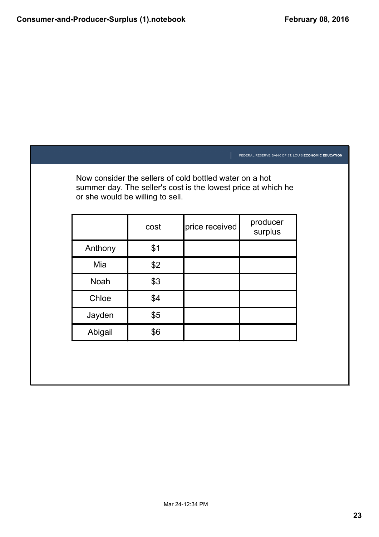|                                  |      |                                                                                                                          | FEDERAL RESERVE BANK OF ST. LOUIS ECONOMIC EDUCATION |  |
|----------------------------------|------|--------------------------------------------------------------------------------------------------------------------------|------------------------------------------------------|--|
| or she would be willing to sell. |      | Now consider the sellers of cold bottled water on a hot<br>summer day. The seller's cost is the lowest price at which he |                                                      |  |
|                                  | cost | price received                                                                                                           | producer<br>surplus                                  |  |
| Anthony                          | \$1  |                                                                                                                          |                                                      |  |
| Mia                              | \$2  |                                                                                                                          |                                                      |  |
| <b>Noah</b>                      | \$3  |                                                                                                                          |                                                      |  |
| Chloe                            | \$4  |                                                                                                                          |                                                      |  |
| Jayden                           | \$5  |                                                                                                                          |                                                      |  |
| Abigail                          | \$6  |                                                                                                                          |                                                      |  |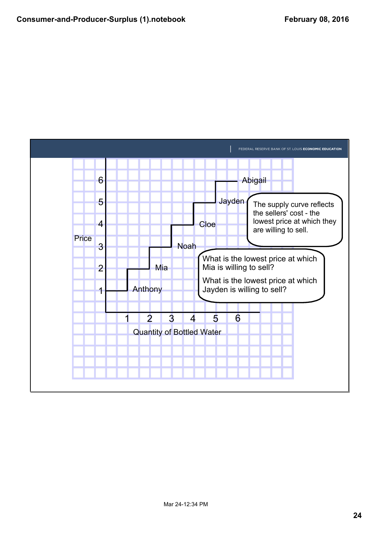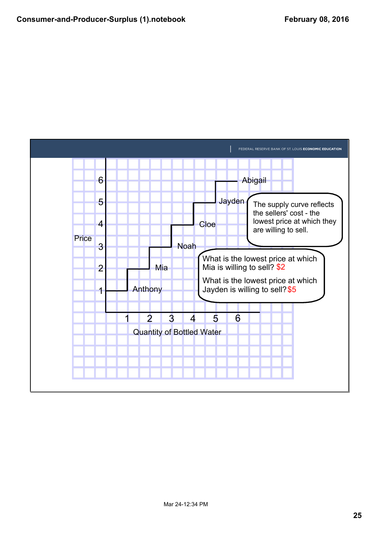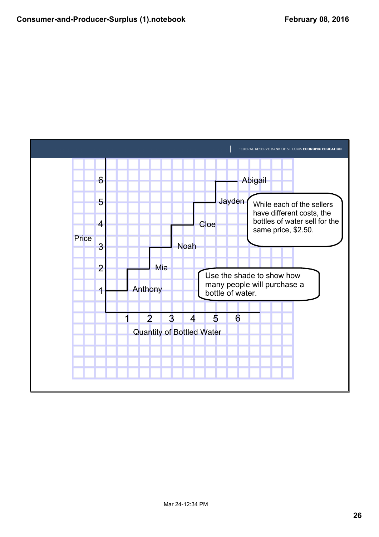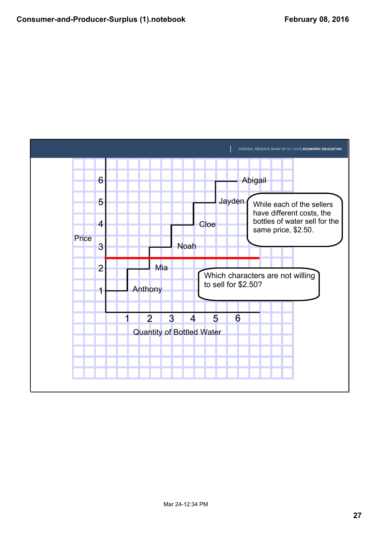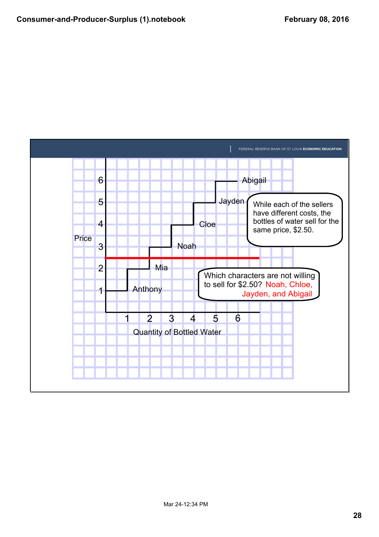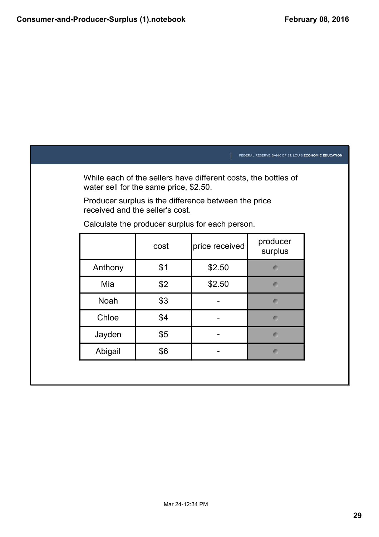|                                        |      |                                                                | FEDERAL RESERVE BANK OF ST. LOUIS ECONOMIC EDUCATION |
|----------------------------------------|------|----------------------------------------------------------------|------------------------------------------------------|
| water sell for the same price, \$2.50. |      | While each of the sellers have different costs, the bottles of |                                                      |
| received and the seller's cost.        |      | Producer surplus is the difference between the price           |                                                      |
|                                        |      | Calculate the producer surplus for each person.                |                                                      |
|                                        | cost | price received                                                 | producer<br>surplus                                  |
| Anthony                                | \$1  | \$2.50                                                         | $\blacksquare$                                       |
| Mia                                    | \$2  | \$2.50                                                         | $\bullet$                                            |
| <b>Noah</b>                            | \$3  |                                                                | $\blacksquare$                                       |
| Chloe                                  | \$4  |                                                                | $\blacksquare$                                       |
| Jayden                                 | \$5  |                                                                | $\blacksquare$                                       |
| Abigail                                | \$6  |                                                                | $\blacksquare$                                       |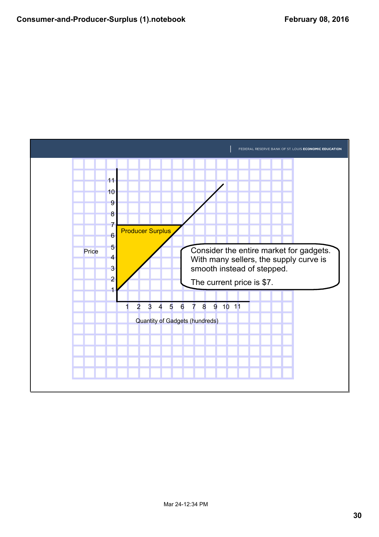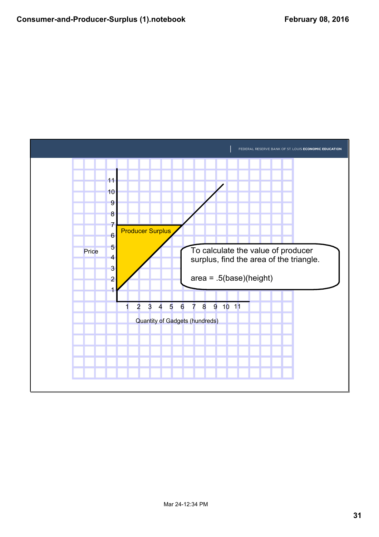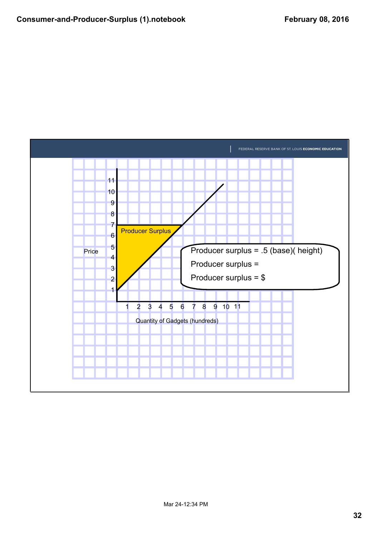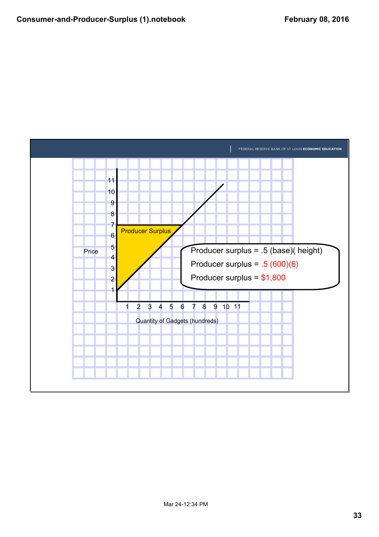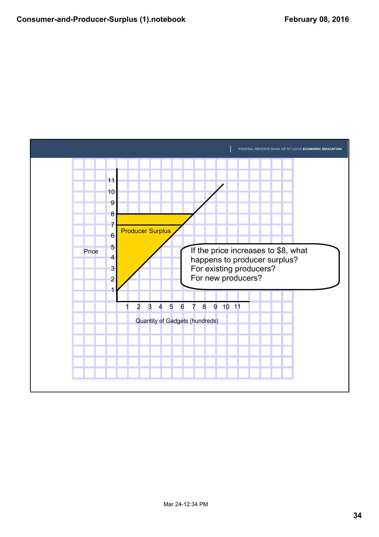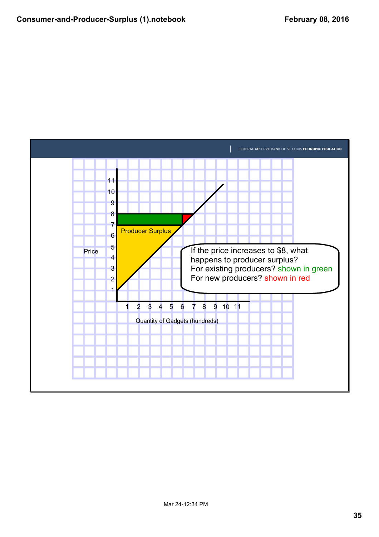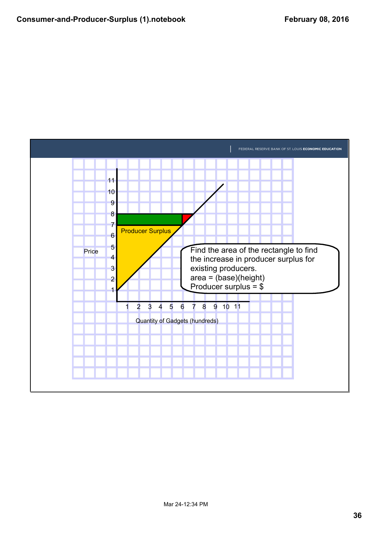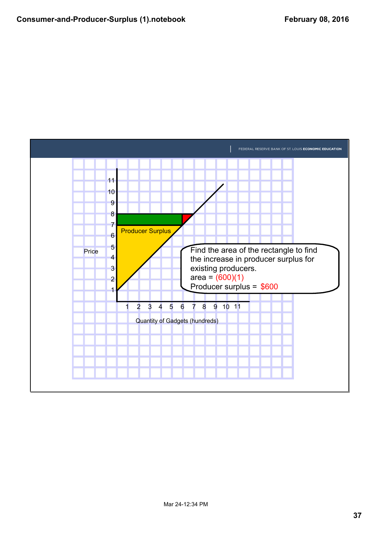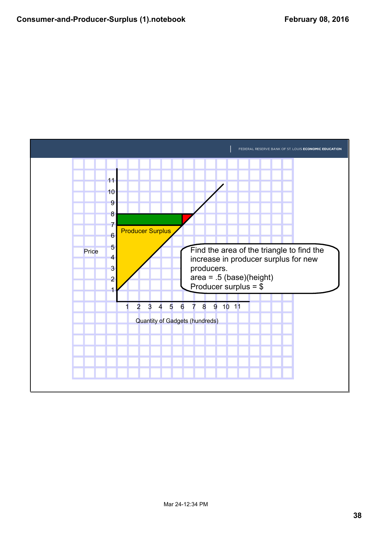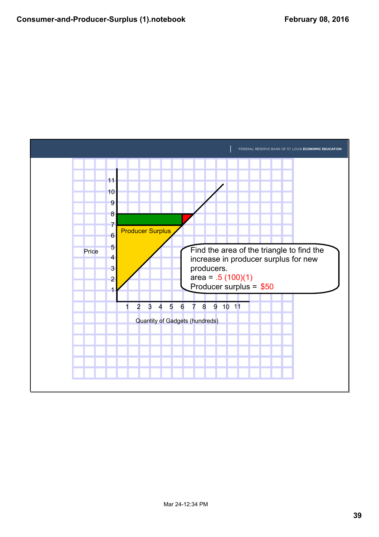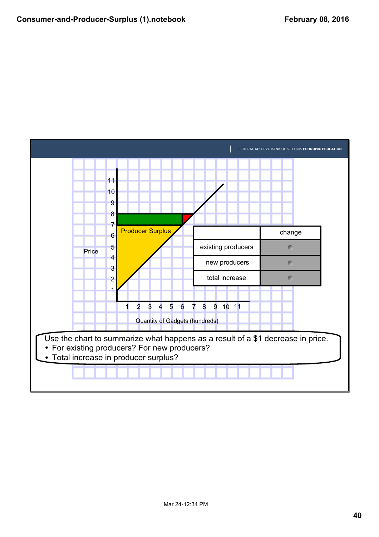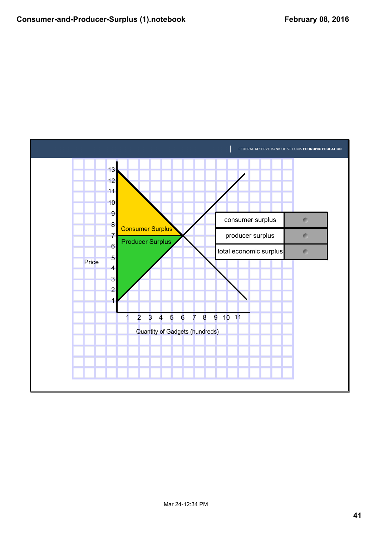